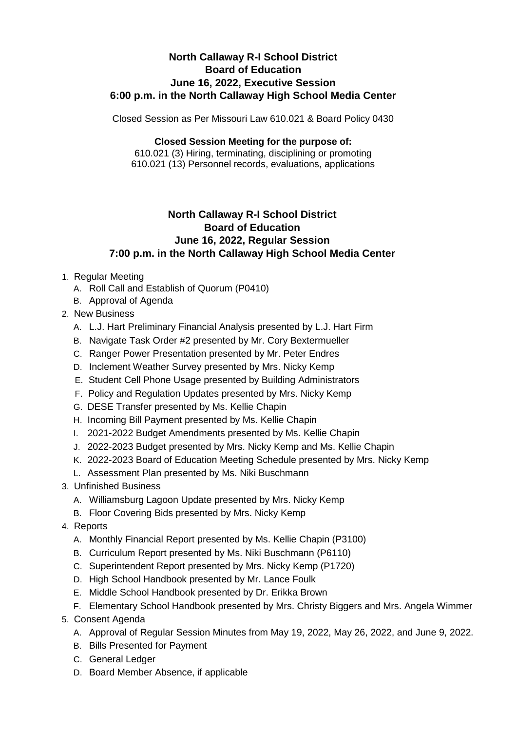## **North Callaway R-I School District Board of Education June 16, 2022, Executive Session 6:00 p.m. in the North Callaway High School Media Center**

Closed Session as Per Missouri Law 610.021 & Board Policy 0430

## **Closed Session Meeting for the purpose of:**

610.021 (3) Hiring, terminating, disciplining or promoting 610.021 (13) Personnel records, evaluations, applications

## **North Callaway R-I School District Board of Education June 16, 2022, Regular Session 7:00 p.m. in the North Callaway High School Media Center**

- 1. Regular Meeting
	- A. Roll Call and Establish of Quorum (P0410)
	- B. Approval of Agenda
- 2. New Business
	- A. L.J. Hart Preliminary Financial Analysis presented by L.J. Hart Firm
	- B. Navigate Task Order #2 presented by Mr. Cory Bextermueller
	- C. Ranger Power Presentation presented by Mr. Peter Endres
	- D. Inclement Weather Survey presented by Mrs. Nicky Kemp
	- E. Student Cell Phone Usage presented by Building Administrators
	- F. Policy and Regulation Updates presented by Mrs. Nicky Kemp
	- G. DESE Transfer presented by Ms. Kellie Chapin
	- H. Incoming Bill Payment presented by Ms. Kellie Chapin
	- I. 2021-2022 Budget Amendments presented by Ms. Kellie Chapin
	- J. 2022-2023 Budget presented by Mrs. Nicky Kemp and Ms. Kellie Chapin
	- K. 2022-2023 Board of Education Meeting Schedule presented by Mrs. Nicky Kemp
	- L. Assessment Plan presented by Ms. Niki Buschmann
- 3. Unfinished Business
	- A. Williamsburg Lagoon Update presented by Mrs. Nicky Kemp
	- B. Floor Covering Bids presented by Mrs. Nicky Kemp
- 4. Reports
	- A. Monthly Financial Report presented by Ms. Kellie Chapin (P3100)
	- B. Curriculum Report presented by Ms. Niki Buschmann (P6110)
	- C. Superintendent Report presented by Mrs. Nicky Kemp (P1720)
	- D. High School Handbook presented by Mr. Lance Foulk
	- E. Middle School Handbook presented by Dr. Erikka Brown
	- F. Elementary School Handbook presented by Mrs. Christy Biggers and Mrs. Angela Wimmer
- 5. Consent Agenda
	- A. Approval of Regular Session Minutes from May 19, 2022, May 26, 2022, and June 9, 2022.
	- B. Bills Presented for Payment
	- C. General Ledger
	- D. Board Member Absence, if applicable